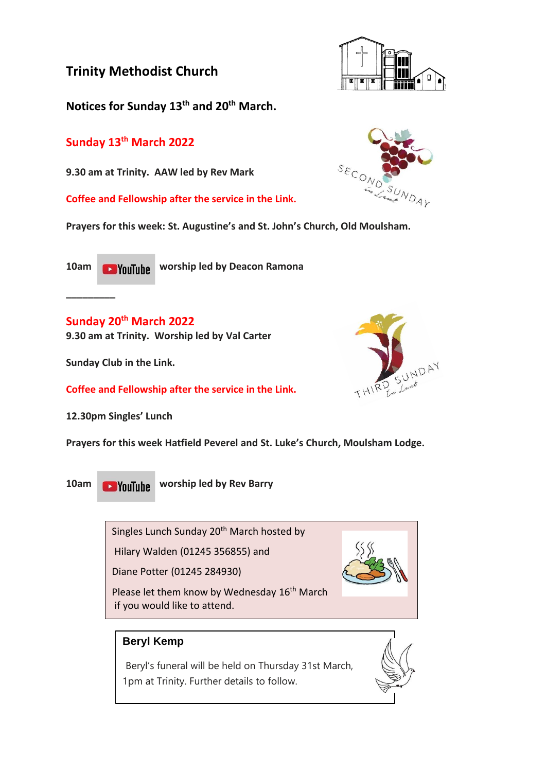**Notices for Sunday 13th and 20th March.**

## **Sunday 13th March 2022**

**9.30 am at Trinity. AAW led by Rev Mark**

**Coffee and Fellowship after the service in the Link.**

**Prayers for this week: St. Augustine's and St. John's Church, Old Moulsham.**

**\_\_\_\_\_\_\_\_\_**

**10am worship led by Deacon Ramona** 

### **Sunday 20th March 2022**

**9.30 am at Trinity. Worship led by Val Carter**

**Sunday Club in the Link.**

**Coffee and Fellowship after the service in the Link.**

**12.30pm Singles' Lunch**

**Prayers for this week Hatfield Peverel and St. Luke's Church, Moulsham Lodge.**

**10am Would Like Worship led by Rev Barry** 

Singles Lunch Sunday 20<sup>th</sup> March hosted by

Hilary Walden (01245 356855) and

Diane Potter (01245 284930)

Please let them know by Wednesday 16<sup>th</sup> March if you would like to attend.

### **Beryl Kemp**

Beryl's funeral will be held on Thursday 31st March, 1pm at Trinity. Further details to follow.









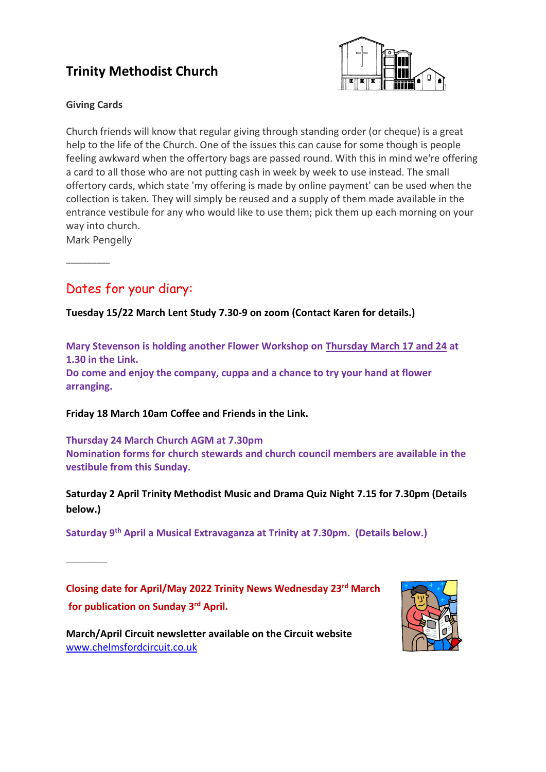

### **Giving Cards**

Church friends will know that regular giving through standing order (or cheque) is a great help to the life of the Church. One of the issues this can cause for some though is people feeling awkward when the offertory bags are passed round. With this in mind we're offering a card to all those who are not putting cash in week by week to use instead. The small offertory cards, which state 'my offering is made by online payment' can be used when the collection is taken. They will simply be reused and a supply of them made available in the entrance vestibule for any who would like to use them; pick them up each morning on your way into church.

Mark Pengelly

**\_\_\_\_\_\_\_\_\_\_**

**\_\_\_\_\_\_\_**

## Dates for your diary:

**Tuesday 15/22 March Lent Study 7.30-9 on zoom (Contact Karen for details.)**

**Mary Stevenson is holding another Flower Workshop on Thursday March 17 and 24 at 1.30 in the Link.**

**Do come and enjoy the company, cuppa and a chance to try your hand at flower arranging.**

**Friday 18 March 10am Coffee and Friends in the Link.**

**Thursday 24 March Church AGM at 7.30pm Nomination forms for church stewards and church council members are available in the vestibule from this Sunday.**

**Saturday 2 April Trinity Methodist Music and Drama Quiz Night 7.15 for 7.30pm (Details below.)**

**Saturday 9th April a Musical Extravaganza at Trinity at 7.30pm. (Details below.)**

**Closing date for April/May 2022 Trinity News Wednesday 23rd March for publication on Sunday 3 rd April.**



**March/April Circuit newsletter available on the Circuit website** [www.chelmsfordcircuit.co.uk](http://www.chelmsfordcircuit.co.uk/)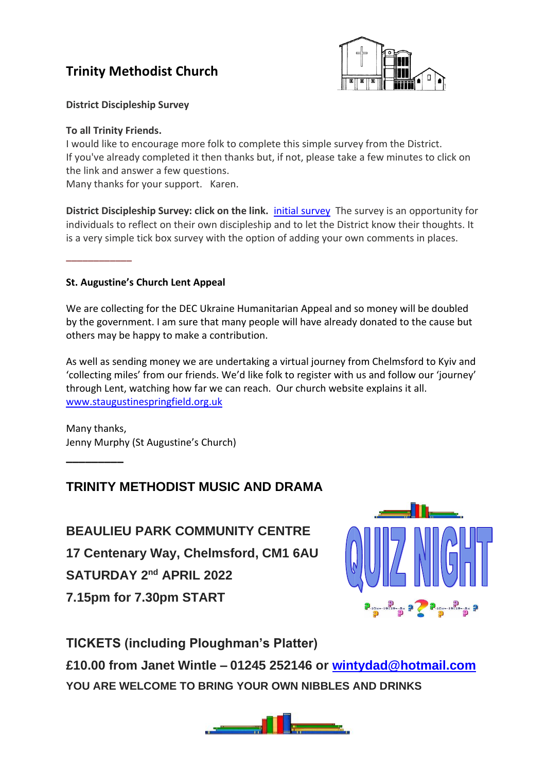

**District Discipleship Survey**

#### **To all Trinity Friends.**

\_\_\_\_\_\_\_\_\_\_\_\_

**\_\_\_\_\_\_\_\_\_**

I would like to encourage more folk to complete this simple survey from the District. If you've already completed it then thanks but, if not, please take a few minutes to click on the link and answer a few questions.

Many thanks for your support. Karen.

**District Discipleship Survey: click on the link.** *initial [survey](https://www.surveymonkey.co.uk/r/RW8F8SH)* The survey is an opportunity for individuals to reflect on their own discipleship and to let the District know their thoughts. It is a very simple tick box survey with the option of adding your own comments in places.

### **St. Augustine's Church Lent Appeal**

We are collecting for the DEC Ukraine Humanitarian Appeal and so money will be doubled by the government. I am sure that many people will have already donated to the cause but others may be happy to make a contribution.

As well as sending money we are undertaking a virtual journey from Chelmsford to Kyiv and 'collecting miles' from our friends. We'd like folk to register with us and follow our 'journey' through Lent, watching how far we can reach. Our church website explains it all. [www.staugustinespringfield.org.uk](http://www.staugustinespringfield.org.uk/)

Many thanks, Jenny Murphy (St Augustine's Church)

### **TRINITY METHODIST MUSIC AND DRAMA**

**BEAULIEU PARK COMMUNITY CENTRE 17 Centenary Way, Chelmsford, CM1 6AU SATURDAY 2nd APRIL 2022 7.15pm for 7.30pm START**



**TICKETS (including Ploughman's Platter)**

**£10.00 from Janet Wintle – 01245 252146 or [wintydad@hotmail.com](mailto:wintydad@hotmail.com) YOU ARE WELCOME TO BRING YOUR OWN NIBBLES AND DRINKS**